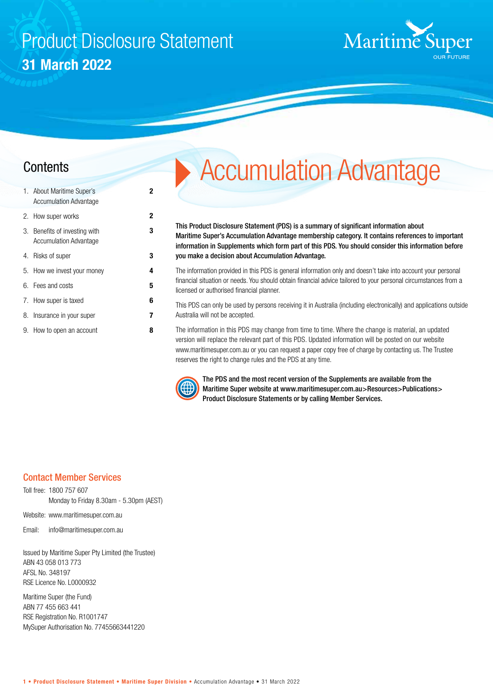## Product Disclosure Statement **31 March 2022**

**2**

**3**



| 1. About Maritime Super's<br><b>Accumulation Advantage</b>     | 2 |
|----------------------------------------------------------------|---|
| 2. How super works                                             | 2 |
| 3. Benefits of investing with<br><b>Accumulation Advantage</b> | 3 |
| 4. Risks of super                                              | 3 |
| 5. How we invest your money                                    | 4 |
| 6. Fees and costs                                              | 5 |
| 7. How super is taxed                                          | 6 |
| 8. Insurance in your super                                     | 7 |
| 9. How to open an account                                      | 8 |

# **Contents** Accumulation Advantage

This Product Disclosure Statement (PDS) is a summary of significant information about Maritime Super's Accumulation Advantage membership category. It contains references to important information in Supplements which form part of this PDS. You should consider this information before you make a decision about Accumulation Advantage.

The information provided in this PDS is general information only and doesn't take into account your personal financial situation or needs. You should obtain financial advice tailored to your personal circumstances from a licensed or authorised financial planner.

This PDS can only be used by persons receiving it in Australia (including electronically) and applications outside Australia will not be accepted.

The information in this PDS may change from time to time. Where the change is material, an updated version will replace the relevant part of this PDS. Updated information will be posted on our website www.maritimesuper.com.au or you can request a paper copy free of charge by contacting us. The Trustee reserves the right to change rules and the PDS at any time.



The PDS and the most recent version of the Supplements are available from the Maritime Super website at www.maritimesuper.com.au>Resources>Publications> Product Disclosure Statements or by calling Member Services.

#### Contact Member Services

Toll free: 1800 757 607 Monday to Friday 8.30am - 5.30pm (AEST)

Website: www.maritimesuper.com.au

Email: info@maritimesuper.com.au

Issued by Maritime Super Pty Limited (the Trustee) ABN 43 058 013 773 AFSL No. 348197 RSE Licence No. L0000932

Maritime Super (the Fund) ABN 77 455 663 441 RSE Registration No. R1001747 MySuper Authorisation No. 77455663441220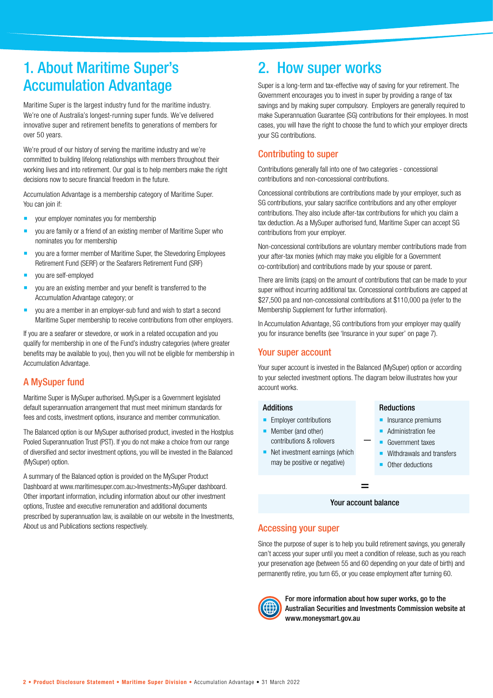### 1. About Maritime Super's Accumulation Advantage

Maritime Super is the largest industry fund for the maritime industry. We're one of Australia's longest-running super funds. We've delivered innovative super and retirement benefits to generations of members for over 50 years.

We're proud of our history of serving the maritime industry and we're committed to building lifelong relationships with members throughout their working lives and into retirement. Our goal is to help members make the right decisions now to secure financial freedom in the future.

Accumulation Advantage is a membership category of Maritime Super. You can join if:

- your employer nominates you for membership
- you are family or a friend of an existing member of Maritime Super who nominates you for membership
- you are a former member of Maritime Super, the Stevedoring Employees Retirement Fund (SERF) or the Seafarers Retirement Fund (SRF)
- vou are self-employed
- you are an existing member and your benefit is transferred to the Accumulation Advantage category; or
- vou are a member in an employer-sub fund and wish to start a second Maritime Super membership to receive contributions from other employers.

If you are a seafarer or stevedore, or work in a related occupation and you qualify for membership in one of the Fund's industry categories (where greater benefits may be available to you), then you will not be eligible for membership in Accumulation Advantage.

#### A MySuper fund

Maritime Super is MySuper authorised. MySuper is a Government legislated default superannuation arrangement that must meet minimum standards for fees and costs, investment options, insurance and member communication.

The Balanced option is our MySuper authorised product, invested in the Hostplus Pooled Superannuation Trust (PST). If you do not make a choice from our range of diversified and sector investment options, you will be invested in the Balanced (MySuper) option.

A summary of the Balanced option is provided on the MySuper Product Dashboard at www.maritimesuper.com.au>Investments>MySuper dashboard. Other important information, including information about our other investment options, Trustee and executive remuneration and additional documents prescribed by superannuation law, is available on our website in the Investments, About us and Publications sections respectively.

### 2. How super works

Super is a long-term and tax-effective way of saving for your retirement. The Government encourages you to invest in super by providing a range of tax savings and by making super compulsory. Employers are generally required to make Superannuation Guarantee (SG) contributions for their employees. In most cases, you will have the right to choose the fund to which your employer directs your SG contributions.

#### Contributing to super

Contributions generally fall into one of two categories - concessional contributions and non-concessional contributions.

Concessional contributions are contributions made by your employer, such as SG contributions, your salary sacrifice contributions and any other employer contributions. They also include after-tax contributions for which you claim a tax deduction. As a MySuper authorised fund, Maritime Super can accept SG contributions from your employer.

Non-concessional contributions are voluntary member contributions made from your after-tax monies (which may make you eligible for a Government co-contribution) and contributions made by your spouse or parent.

There are limits (caps) on the amount of contributions that can be made to your super without incurring additional tax. Concessional contributions are capped at \$27,500 pa and non-concessional contributions at \$110,000 pa (refer to the Membership Supplement for further information).

In Accumulation Advantage, SG contributions from your employer may qualify you for insurance benefits (see 'Insurance in your super' on page 7).

#### Your super account

Your super account is invested in the Balanced (MySuper) option or according to your selected investment options. The diagram below illustrates how your account works.

#### Additions

- **Employer contributions**
- **Member (and other)** contributions & rollovers
- $\blacksquare$  Net investment earnings (which may be positive or negative)

#### Reductions

- **Insurance premiums**
- **Administration fee**
- Government taxes
- **Withdrawals and transfers**
- **Other deductions**

#### Your account balance

=

 **\_**

#### Accessing your super

Since the purpose of super is to help you build retirement savings, you generally can't access your super until you meet a condition of release, such as you reach your preservation age (between 55 and 60 depending on your date of birth) and permanently retire, you turn 65, or you cease employment after turning 60.



For more information about how super works, go to the Australian Securities and Investments Commission website at www.moneysmart.gov.au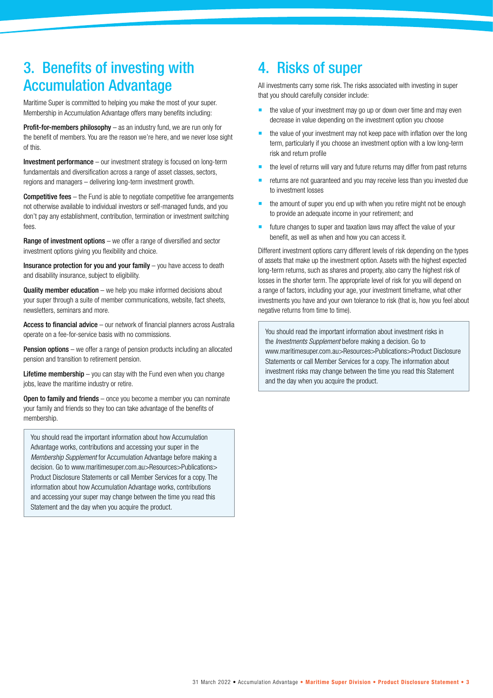### 3. Benefits of investing with Accumulation Advantage

Maritime Super is committed to helping you make the most of your super. Membership in Accumulation Advantage offers many benefits including:

Profit-for-members philosophy – as an industry fund, we are run only for the benefit of members. You are the reason we're here, and we never lose sight of this.

Investment performance – our investment strategy is focused on long-term fundamentals and diversification across a range of asset classes, sectors, regions and managers – delivering long-term investment growth.

**Competitive fees** – the Fund is able to negotiate competitive fee arrangements not otherwise available to individual investors or self-managed funds, and you don't pay any establishment, contribution, termination or investment switching fees.

Range of investment options – we offer a range of diversified and sector investment options giving you flexibility and choice.

Insurance protection for you and your family – you have access to death and disability insurance, subject to eligibility.

**Quality member education** – we help you make informed decisions about your super through a suite of member communications, website, fact sheets, newsletters, seminars and more.

Access to financial advice – our network of financial planners across Australia operate on a fee-for-service basis with no commissions.

**Pension options** – we offer a range of pension products including an allocated pension and transition to retirement pension.

**Lifetime membership**  $-$  you can stay with the Fund even when you change jobs, leave the maritime industry or retire.

Open to family and friends – once you become a member you can nominate your family and friends so they too can take advantage of the benefits of membership.

You should read the important information about how Accumulation Advantage works, contributions and accessing your super in the *Membership Supplement* for Accumulation Advantage before making a decision. Go to www.maritimesuper.com.au>Resources>Publications> Product Disclosure Statements or call Member Services for a copy. The information about how Accumulation Advantage works, contributions and accessing your super may change between the time you read this Statement and the day when you acquire the product.

### 4. Risks of super

All investments carry some risk. The risks associated with investing in super that you should carefully consider include:

- the value of your investment may go up or down over time and may even decrease in value depending on the investment option you choose
- the value of your investment may not keep pace with inflation over the long term, particularly if you choose an investment option with a low long-term risk and return profile
- the level of returns will vary and future returns may differ from past returns
- returns are not guaranteed and you may receive less than you invested due to investment losses
- the amount of super you end up with when you retire might not be enough to provide an adequate income in your retirement; and
- future changes to super and taxation laws may affect the value of your benefit, as well as when and how you can access it.

Different investment options carry different levels of risk depending on the types of assets that make up the investment option. Assets with the highest expected long-term returns, such as shares and property, also carry the highest risk of losses in the shorter term. The appropriate level of risk for you will depend on a range of factors, including your age, your investment timeframe, what other investments you have and your own tolerance to risk (that is, how you feel about negative returns from time to time).

You should read the important information about investment risks in the *Investments Supplement* before making a decision. Go to www.maritimesuper.com.au>Resources>Publications>Product Disclosure Statements or call Member Services for a copy. The information about investment risks may change between the time you read this Statement and the day when you acquire the product.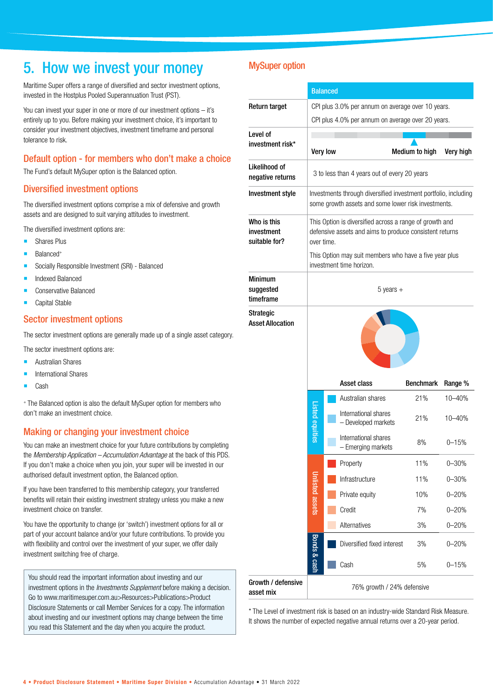### 5. How we invest your money

Maritime Super offers a range of diversified and sector investment options, invested in the Hostplus Pooled Superannuation Trust (PST).

You can invest your super in one or more of our investment options – it's entirely up to you. Before making your investment choice, it's important to consider your investment objectives, investment timeframe and personal tolerance to risk.

#### Default option - for members who don't make a choice

The Fund's default MySuper option is the Balanced option.

#### Diversified investment options

The diversified investment options comprise a mix of defensive and growth assets and are designed to suit varying attitudes to investment.

The diversified investment options are:

- **Shares Plus**
- Balanced+
- **Socially Responsible Investment (SRI) Balanced**
- Indexed Balanced
- Conservative Balanced
- Capital Stable

#### Sector investment options

The sector investment options are generally made up of a single asset category.

- The sector investment options are:
- Australian Shares
- International Shares
- Cash

+ The Balanced option is also the default MySuper option for members who don't make an investment choice.

#### Making or changing your investment choice

You can make an investment choice for your future contributions by completing the *Membership Application – Accumulation Advantage* at the back of this PDS. If you don't make a choice when you join, your super will be invested in our authorised default investment option, the Balanced option.

If you have been transferred to this membership category, your transferred benefits will retain their existing investment strategy unless you make a new investment choice on transfer.

You have the opportunity to change (or 'switch') investment options for all or part of your account balance and/or your future contributions. To provide you with flexibility and control over the investment of your super, we offer daily investment switching free of charge.

You should read the important information about investing and our investment options in the *Investments Supplement* before making a decision. Go to www.maritimesuper.com.au>Resources>Publications>Product Disclosure Statements or call Member Services for a copy. The information about investing and our investment options may change between the time you read this Statement and the day when you acquire the product.

#### MySuper option

|                                            | <b>Balanced</b>                                                                                                                  |          |                                                                                                                        |                         |                       |  |
|--------------------------------------------|----------------------------------------------------------------------------------------------------------------------------------|----------|------------------------------------------------------------------------------------------------------------------------|-------------------------|-----------------------|--|
| Return target                              | CPI plus 3.0% per annum on average over 10 years.                                                                                |          |                                                                                                                        |                         |                       |  |
|                                            |                                                                                                                                  |          | CPI plus 4.0% per annum on average over 20 years.                                                                      |                         |                       |  |
| Level of                                   |                                                                                                                                  |          |                                                                                                                        |                         |                       |  |
| investment risk*                           |                                                                                                                                  | Very low |                                                                                                                        | Medium to high          | Very high             |  |
| Likelihood of<br>negative returns          | 3 to less than 4 years out of every 20 years                                                                                     |          |                                                                                                                        |                         |                       |  |
| Investment style                           |                                                                                                                                  |          | Investments through diversified investment portfolio, including<br>some growth assets and some lower risk investments. |                         |                       |  |
| Who is this<br>investment<br>suitable for? | This Option is diversified across a range of growth and<br>defensive assets and aims to produce consistent returns<br>over time. |          |                                                                                                                        |                         |                       |  |
|                                            | This Option may suit members who have a five year plus<br>investment time horizon.                                               |          |                                                                                                                        |                         |                       |  |
| <b>Minimum</b><br>suggested<br>timeframe   | $5$ years $+$                                                                                                                    |          |                                                                                                                        |                         |                       |  |
| <b>Asset Allocation</b>                    |                                                                                                                                  |          |                                                                                                                        |                         |                       |  |
|                                            | Listed equities                                                                                                                  |          | Asset class<br>Australian shares                                                                                       | <b>Benchmark</b><br>21% | Range %<br>$10 - 40%$ |  |
|                                            |                                                                                                                                  |          | International shares<br>- Developed markets                                                                            | 21%                     | 10-40%                |  |
|                                            |                                                                                                                                  |          | International shares<br>- Emerging markets                                                                             | 8%                      | $0 - 15%$             |  |
|                                            |                                                                                                                                  |          | Property                                                                                                               | 11%                     | $0 - 30%$             |  |
|                                            |                                                                                                                                  |          | Infrastructure                                                                                                         | 11%                     | $0 - 30%$             |  |
|                                            | <b>Inlisted assets</b><br>Bonds & cash                                                                                           |          | Private equity                                                                                                         | 10%                     | $0 - 20%$             |  |
|                                            |                                                                                                                                  |          | Credit                                                                                                                 | 7%                      | $0 - 20%$             |  |
|                                            |                                                                                                                                  |          | Alternatives                                                                                                           | 3%                      | $0 - 20%$             |  |
|                                            |                                                                                                                                  |          | Diversified fixed interest                                                                                             | 3%                      | $0 - 20%$             |  |
|                                            |                                                                                                                                  |          | Cash                                                                                                                   | 5%                      | $0 - 15%$             |  |
| Growth / defensive<br>asset mix            | 76% growth / 24% defensive                                                                                                       |          |                                                                                                                        |                         |                       |  |

\* The Level of investment risk is based on an industry-wide Standard Risk Measure. It shows the number of expected negative annual returns over a 20-year period.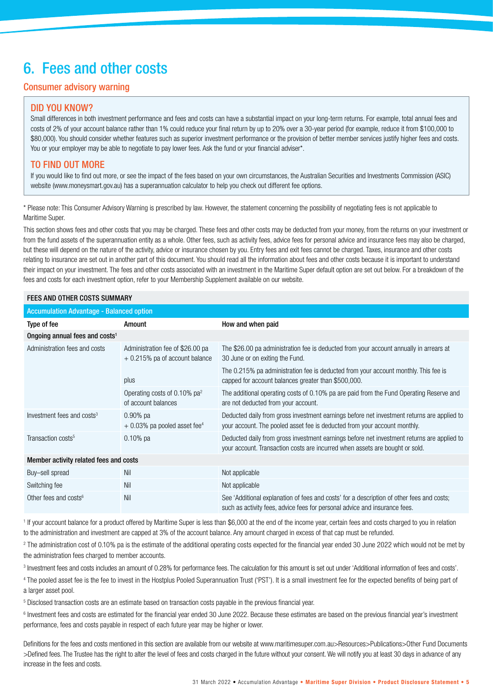### 6. Fees and other costs

#### Consumer advisory warning

#### DID YOU KNOW?

Small differences in both investment performance and fees and costs can have a substantial impact on your long-term returns. For example, total annual fees and costs of 2% of your account balance rather than 1% could reduce your final return by up to 20% over a 30-year period (for example, reduce it from \$100,000 to \$80,000). You should consider whether features such as superior investment performance or the provision of better member services justify higher fees and costs. You or your employer may be able to negotiate to pay lower fees. Ask the fund or your financial adviser\*.

#### TO FIND OUT MORE

If you would like to find out more, or see the impact of the fees based on your own circumstances, the Australian Securities and Investments Commission (ASIC) website (www.moneysmart.gov.au) has a superannuation calculator to help you check out different fee options.

\* Please note: This Consumer Advisory Warning is prescribed by law. However, the statement concerning the possibility of negotiating fees is not applicable to Maritime Super.

This section shows fees and other costs that you may be charged. These fees and other costs may be deducted from your money, from the returns on your investment or from the fund assets of the superannuation entity as a whole. Other fees, such as activity fees, advice fees for personal advice and insurance fees may also be charged, but these will depend on the nature of the activity, advice or insurance chosen by you. Entry fees and exit fees cannot be charged. Taxes, insurance and other costs relating to insurance are set out in another part of this document. You should read all the information about fees and other costs because it is important to understand their impact on your investment. The fees and other costs associated with an investment in the Maritime Super default option are set out below. For a breakdown of the fees and costs for each investment option, refer to your Membership Supplement available on our website.

#### FEES AND OTHER COSTS SUMMARY

| <b>Accumulation Advantage - Balanced option</b> |                                                                      |                                                                                                                                                                            |  |  |  |  |  |  |
|-------------------------------------------------|----------------------------------------------------------------------|----------------------------------------------------------------------------------------------------------------------------------------------------------------------------|--|--|--|--|--|--|
| Type of fee                                     | Amount                                                               | How and when paid                                                                                                                                                          |  |  |  |  |  |  |
| Ongoing annual fees and costs <sup>1</sup>      |                                                                      |                                                                                                                                                                            |  |  |  |  |  |  |
| Administration fees and costs                   | Administration fee of \$26.00 pa<br>$+0.215\%$ pa of account balance | The \$26.00 pa administration fee is deducted from your account annually in arrears at<br>30 June or on exiting the Fund.                                                  |  |  |  |  |  |  |
|                                                 | plus                                                                 | The 0.215% pa administration fee is deducted from your account monthly. This fee is<br>capped for account balances greater than \$500,000.                                 |  |  |  |  |  |  |
|                                                 | Operating costs of 0.10% $pa^2$<br>of account balances               | The additional operating costs of 0.10% pa are paid from the Fund Operating Reserve and<br>are not deducted from your account.                                             |  |  |  |  |  |  |
| Investment fees and costs <sup>3</sup>          | $0.90\%$ pa<br>$+0.03\%$ pa pooled asset fee <sup>4</sup>            | Deducted daily from gross investment earnings before net investment returns are applied to<br>your account. The pooled asset fee is deducted from your account monthly.    |  |  |  |  |  |  |
| Transaction costs <sup>5</sup>                  | $0.10\%$ pa                                                          | Deducted daily from gross investment earnings before net investment returns are applied to<br>your account. Transaction costs are incurred when assets are bought or sold. |  |  |  |  |  |  |
| Member activity related fees and costs          |                                                                      |                                                                                                                                                                            |  |  |  |  |  |  |
| Buy-sell spread                                 | Nil                                                                  | Not applicable                                                                                                                                                             |  |  |  |  |  |  |
| Switching fee                                   | Nil                                                                  | Not applicable                                                                                                                                                             |  |  |  |  |  |  |
| Other fees and costs <sup>6</sup>               | Nil                                                                  | See 'Additional explanation of fees and costs' for a description of other fees and costs;<br>such as activity fees, advice fees for personal advice and insurance fees.    |  |  |  |  |  |  |
|                                                 |                                                                      |                                                                                                                                                                            |  |  |  |  |  |  |

<sup>1</sup> If your account balance for a product offered by Maritime Super is less than \$6,000 at the end of the income year, certain fees and costs charged to you in relation to the administration and investment are capped at 3% of the account balance. Any amount charged in excess of that cap must be refunded.

2 The administration cost of 0.10% pa is the estimate of the additional operating costs expected for the financial year ended 30 June 2022 which would not be met by the administration fees charged to member accounts.

<sup>3</sup> Investment fees and costs includes an amount of 0.28% for performance fees. The calculation for this amount is set out under 'Additional information of fees and costs'.

4 The pooled asset fee is the fee to invest in the Hostplus Pooled Superannuation Trust ('PST'). It is a small investment fee for the expected benefits of being part of a larger asset pool.

5 Disclosed transaction costs are an estimate based on transaction costs payable in the previous financial year.

<sup>6</sup> Investment fees and costs are estimated for the financial year ended 30 June 2022. Because these estimates are based on the previous financial year's investment performance, fees and costs payable in respect of each future year may be higher or lower.

Definitions for the fees and costs mentioned in this section are available from our website at www.maritimesuper.com.au>Resources>Publications>Other Fund Documents >Defined fees. The Trustee has the right to alter the level of fees and costs charged in the future without your consent. We will notify you at least 30 days in advance of any increase in the fees and costs.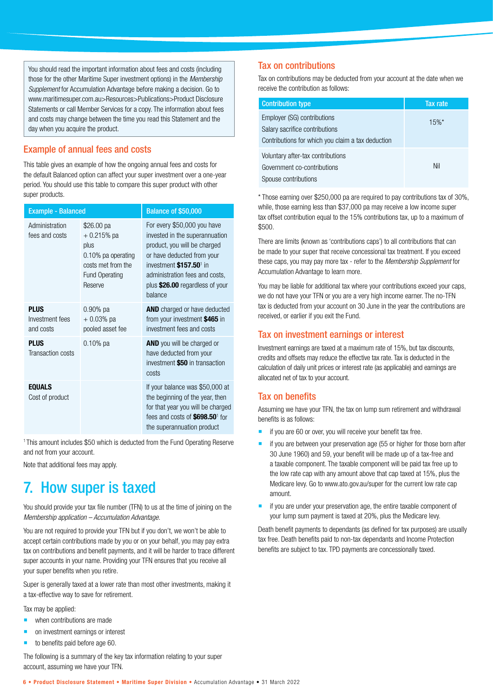You should read the important information about fees and costs (including those for the other Maritime Super investment options) in the *Membership Supplement* for Accumulation Advantage before making a decision. Go to www.maritimesuper.com.au>Resources>Publications>Product Disclosure Statements or call Member Services for a copy. The information about fees and costs may change between the time you read this Statement and the day when you acquire the product.

#### Example of annual fees and costs

This table gives an example of how the ongoing annual fees and costs for the default Balanced option can affect your super investment over a one-year period. You should use this table to compare this super product with other super products.

| <b>Example - Balanced</b>                   |                                                                                                                    | <b>Balance of \$50,000</b>                                                                                                                                                                                                                         |
|---------------------------------------------|--------------------------------------------------------------------------------------------------------------------|----------------------------------------------------------------------------------------------------------------------------------------------------------------------------------------------------------------------------------------------------|
| Administration<br>fees and costs            | \$26.00 pa<br>$+0.215%$ pa<br>plus<br>0.10% pa operating<br>costs met from the<br><b>Fund Operating</b><br>Reserve | For every \$50,000 you have<br>invested in the superannuation<br>product, you will be charged<br>or have deducted from your<br>investment \$157.50 <sup>1</sup> in<br>administration fees and costs,<br>plus \$26.00 regardless of your<br>balance |
| <b>PLUS</b><br>Investment fees<br>and costs | $0.90\%$ pa<br>$+0.03%$ pa<br>pooled asset fee                                                                     | <b>AND</b> charged or have deducted<br>from your investment \$465 in<br>investment fees and costs                                                                                                                                                  |
| <b>PLUS</b><br>Transaction costs            | $0.10\%$ pa                                                                                                        | <b>AND</b> you will be charged or<br>have deducted from your<br>investment \$50 in transaction<br>costs                                                                                                                                            |
| <b>EQUALS</b><br>Cost of product            |                                                                                                                    | If your balance was \$50,000 at<br>the beginning of the year, then<br>for that year you will be charged<br>fees and costs of \$698.50 <sup>1</sup> for<br>the superannuation product                                                               |

<sup>1</sup> This amount includes \$50 which is deducted from the Fund Operating Reserve and not from your account.

Note that additional fees may apply.

### 7. How super is taxed

You should provide your tax file number (TFN) to us at the time of joining on the *Membership application – Accumulation Advantage*.

You are not required to provide your TFN but if you don't, we won't be able to accept certain contributions made by you or on your behalf, you may pay extra tax on contributions and benefit payments, and it will be harder to trace different super accounts in your name. Providing your TFN ensures that you receive all your super benefits when you retire.

Super is generally taxed at a lower rate than most other investments, making it a tax-effective way to save for retirement.

Tax may be applied:

- **when contributions are made**
- on investment earnings or interest
- to benefits paid before age 60.

The following is a summary of the key tax information relating to your super account, assuming we have your TFN.

#### Tax on contributions

Tax on contributions may be deducted from your account at the date when we receive the contribution as follows:

| <b>Contribution type</b>                                                                                           | Tax rate |
|--------------------------------------------------------------------------------------------------------------------|----------|
| Employer (SG) contributions<br>Salary sacrifice contributions<br>Contributions for which you claim a tax deduction | $15%$ *  |
| Voluntary after-tax contributions<br>Government co-contributions<br>Spouse contributions                           | Nil      |

\* Those earning over \$250,000 pa are required to pay contributions tax of 30%, while, those earning less than \$37,000 pa may receive a low income super tax offset contribution equal to the 15% contributions tax, up to a maximum of \$500.

There are limits (known as 'contributions caps') to all contributions that can be made to your super that receive concessional tax treatment. If you exceed these caps, you may pay more tax - refer to the *Membership Supplement* for Accumulation Advantage to learn more.

You may be liable for additional tax where your contributions exceed your caps, we do not have your TFN or you are a very high income earner. The no-TFN tax is deducted from your account on 30 June in the year the contributions are received, or earlier if you exit the Fund.

#### Tax on investment earnings or interest

Investment earnings are taxed at a maximum rate of 15%, but tax discounts, credits and offsets may reduce the effective tax rate. Tax is deducted in the calculation of daily unit prices or interest rate (as applicable) and earnings are allocated net of tax to your account.

#### Tax on benefits

Assuming we have your TFN, the tax on lump sum retirement and withdrawal benefits is as follows:

- if you are 60 or over, you will receive your benefit tax free.
- $\blacksquare$  if you are between your preservation age (55 or higher for those born after 30 June 1960) and 59, your benefit will be made up of a tax-free and a taxable component. The taxable component will be paid tax free up to the low rate cap with any amount above that cap taxed at 15%, plus the Medicare levy. Go to www.ato.gov.au/super for the current low rate cap amount.
- if you are under your preservation age, the entire taxable component of your lump sum payment is taxed at 20%, plus the Medicare levy.

Death benefit payments to dependants (as defined for tax purposes) are usually tax free. Death benefits paid to non-tax dependants and Income Protection benefits are subject to tax. TPD payments are concessionally taxed.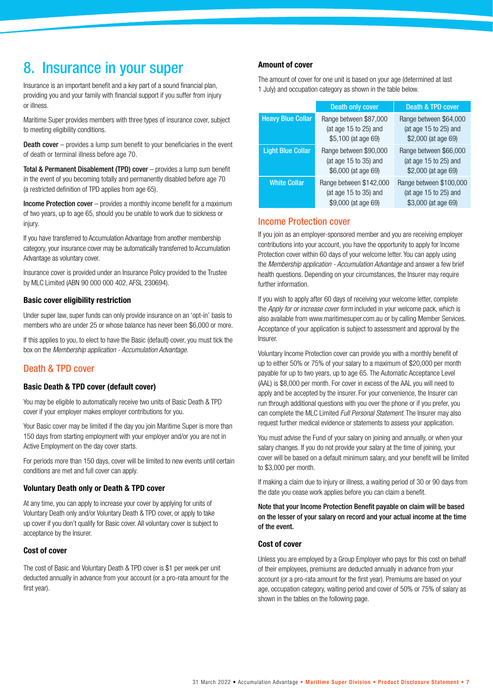### 8. Insurance in your super

Insurance is an important benefit and a key part of a sound financial plan, providing you and your family with financial support if you suffer from injury or illness.

Maritime Super provides members with three types of insurance cover, subject to meeting eligibility conditions.

**Death cover** – provides a lump sum benefit to your beneficiaries in the event of death or terminal illness before age 70.

Total & Permanent Disablement (TPD) cover – provides a lump sum benefit in the event of you becoming totally and permanently disabled before age 70 (a restricted definition of TPD applies from age 65).

Income Protection cover – provides a monthly income benefit for a maximum of two years, up to age 65, should you be unable to work due to sickness or injury.

If you have transferred to Accumulation Advantage from another membership category, your insurance cover may be automatically transferred to Accumulation Advantage as voluntary cover.

Insurance cover is provided under an Insurance Policy provided to the Trustee by MLC Limited (ABN 90 000 000 402, AFSL 230694).

#### **Basic cover eligibility restriction**

Under super law, super funds can only provide insurance on an 'opt-in' basis to members who are under 25 or whose balance has never been \$6,000 or more.

If this applies to you, to elect to have the Basic (default) cover, you must tick the box on the *Membership application - Accumulation Advantage.*

#### Death & TPD cover

#### **Basic Death & TPD cover (default cover)**

You may be eligible to automatically receive two units of Basic Death & TPD cover if your employer makes employer contributions for you.

Your Basic cover may be limited if the day you join Maritime Super is more than 150 days from starting employment with your employer and/or you are not in Active Employment on the day cover starts.

For periods more than 150 days, cover will be limited to new events until certain conditions are met and full cover can apply.

#### **Voluntary Death only or Death & TPD cover**

At any time, you can apply to increase your cover by applying for units of Voluntary Death only and/or Voluntary Death & TPD cover, or apply to take up cover if you don't qualify for Basic cover. All voluntary cover is subject to acceptance by the Insurer.

#### **Cost of cover**

The cost of Basic and Voluntary Death & TPD cover is \$1 per week per unit deducted annually in advance from your account (or a pro-rata amount for the first year).

#### **Amount of cover**

The amount of cover for one unit is based on your age (determined at last 1 July) and occupation category as shown in the table below.

|                          | <b>Death only cover</b>                                                 | <b>Death &amp; TPD cover</b>                                            |
|--------------------------|-------------------------------------------------------------------------|-------------------------------------------------------------------------|
| <b>Heavy Blue Collar</b> | Range between \$87,000<br>(at age 15 to 25) and<br>\$5,100 (at age 69)  | Range between \$64,000<br>(at age 15 to 25) and<br>\$2,000 (at age 69)  |
| <b>Light Blue Collar</b> | Range between \$90,000<br>(at age 15 to 35) and<br>\$6,000 (at age 69)  | Range between \$66,000<br>(at age 15 to 25) and<br>\$2,000 (at age 69)  |
| <b>White Collar</b>      | Range between \$142,000<br>(at age 15 to 35) and<br>\$9,000 (at age 69) | Range between \$100,000<br>(at age 15 to 25) and<br>\$3,000 (at age 69) |

#### Income Protection cover

If you join as an employer-sponsored member and you are receiving employer contributions into your account, you have the opportunity to apply for Income Protection cover within 60 days of your welcome letter. You can apply using the *Membership application - Accumulation Advantage* and answer a few brief health questions. Depending on your circumstances, the Insurer may require further information.

If you wish to apply after 60 days of receiving your welcome letter, complete the *Apply for or increase cover form* included in your welcome pack, which is also available from www.maritimesuper.com.au or by calling Member Services. Acceptance of your application is subject to assessment and approval by the Insurer.

Voluntary Income Protection cover can provide you with a monthly benefit of up to either 50% or 75% of your salary to a maximum of \$20,000 per month payable for up to two years, up to age 65. The Automatic Acceptance Level (AAL) is \$8,000 per month. For cover in excess of the AAL you will need to apply and be accepted by the insurer. For your convenience, the Insurer can run through additional questions with you over the phone or if you prefer, you can complete the MLC Limited *Full Personal Statement*. The Insurer may also request further medical evidence or statements to assess your application.

You must advise the Fund of your salary on joining and annually, or when your salary changes. If you do not provide your salary at the time of joining, your cover will be based on a default minimum salary, and your benefit will be limited to \$3,000 per month.

If making a claim due to injury or illness, a waiting period of 30 or 90 days from the date you cease work applies before you can claim a benefit.

Note that your Income Protection Benefit payable on claim will be based on the lesser of your salary on record and your actual income at the time of the event.

#### **Cost of cover**

Unless you are employed by a Group Employer who pays for this cost on behalf of their employees, premiums are deducted annually in advance from your account (or a pro-rata amount for the first year). Premiums are based on your age, occupation category, waiting period and cover of 50% or 75% of salary as shown in the tables on the following page.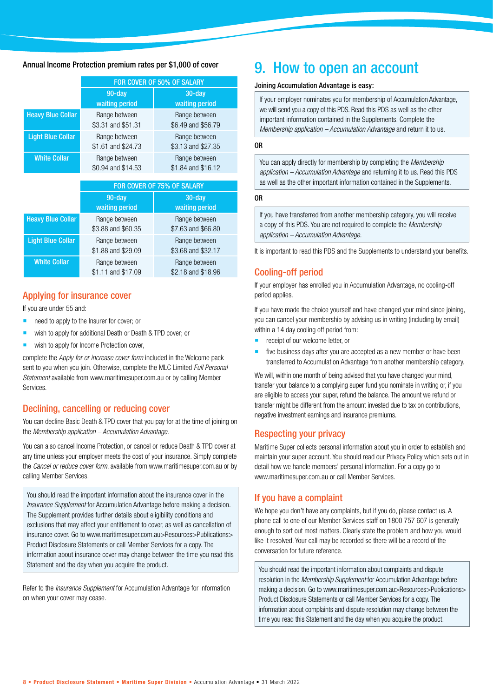#### Annual Income Protection premium rates per \$1,000 of cover

|                          | FOR COVER OF 50% OF SALARY          |                                     |  |  |
|--------------------------|-------------------------------------|-------------------------------------|--|--|
|                          | $90 - day$<br>waiting period        | $30 - day$<br>waiting period        |  |  |
| <b>Heavy Blue Collar</b> | Range between<br>\$3.31 and \$51.31 | Range between<br>\$6.49 and \$56.79 |  |  |
| <b>Light Blue Collar</b> | Range between<br>\$1.61 and \$24.73 | Range between<br>\$3.13 and \$27.35 |  |  |
| <b>White Collar</b>      | Range between<br>\$0.94 and \$14.53 | Range between<br>\$1.84 and \$16.12 |  |  |

|                          | FOR COVER OF 75% OF SALARY          |                                     |  |  |
|--------------------------|-------------------------------------|-------------------------------------|--|--|
|                          | 90-day<br>waiting period            | $30 - day$<br>waiting period        |  |  |
| <b>Heavy Blue Collar</b> | Range between<br>\$3.88 and \$60.35 | Range between<br>\$7.63 and \$66.80 |  |  |
| <b>Light Blue Collar</b> | Range between<br>\$1.88 and \$29.09 | Range between<br>\$3.68 and \$32.17 |  |  |
| <b>White Collar</b>      | Range between<br>\$1.11 and \$17.09 | Range between<br>\$2.18 and \$18.96 |  |  |

#### Applying for insurance cover

#### If you are under 55 and:

- need to apply to the Insurer for cover; or
- wish to apply for additional Death or Death & TPD cover; or
- wish to apply for Income Protection cover,

complete the *Apply for or increase cover form* included in the Welcome pack sent to you when you join. Otherwise, complete the MLC Limited *Full Personal Statement* available from www.maritimesuper.com.au or by calling Member Services.

#### Declining, cancelling or reducing cover

You can decline Basic Death & TPD cover that you pay for at the time of joining on the *Membership application – Accumulation Advantage*.

You can also cancel Income Protection, or cancel or reduce Death & TPD cover at any time unless your employer meets the cost of your insurance. Simply complete the *Cancel or reduce cover form*, available from www.maritimesuper.com.au or by calling Member Services.

You should read the important information about the insurance cover in the *Insurance Supplement* for Accumulation Advantage before making a decision. The Supplement provides further details about eligibility conditions and exclusions that may affect your entitlement to cover, as well as cancellation of insurance cover. Go to www.maritimesuper.com.au>Resources>Publications> Product Disclosure Statements or call Member Services for a copy. The information about insurance cover may change between the time you read this Statement and the day when you acquire the product.

Refer to the *Insurance Supplement* for Accumulation Advantage for information on when your cover may cease.

### 9. How to open an account

#### Joining Accumulation Advantage is easy:

If your employer nominates you for membership of Accumulation Advantage, we will send you a copy of this PDS. Read this PDS as well as the other important information contained in the Supplements. Complete the *Membership application – Accumulation Advantage* and return it to us.

#### OR

You can apply directly for membership by completing the *Membership application – Accumulation Advantage* and returning it to us. Read this PDS as well as the other important information contained in the Supplements.

#### OR

If you have transferred from another membership category, you will receive a copy of this PDS. You are not required to complete the *Membership application – Accumulation Advantage*.

It is important to read this PDS and the Supplements to understand your benefits.

#### Cooling-off period

If your employer has enrolled you in Accumulation Advantage, no cooling-off period applies.

If you have made the choice yourself and have changed your mind since joining, you can cancel your membership by advising us in writing (including by email) within a 14 day cooling off period from:

- **receipt of our welcome letter, or**
- five business days after you are accepted as a new member or have been transferred to Accumulation Advantage from another membership category.

We will, within one month of being advised that you have changed your mind, transfer your balance to a complying super fund you nominate in writing or, if you are eligible to access your super, refund the balance. The amount we refund or transfer might be different from the amount invested due to tax on contributions, negative investment earnings and insurance premiums.

#### Respecting your privacy

Maritime Super collects personal information about you in order to establish and maintain your super account. You should read our Privacy Policy which sets out in detail how we handle members' personal information. For a copy go to www.maritimesuper.com.au or call Member Services.

#### If you have a complaint

We hope you don't have any complaints, but if you do, please contact us. A phone call to one of our Member Services staff on 1800 757 607 is generally enough to sort out most matters. Clearly state the problem and how you would like it resolved. Your call may be recorded so there will be a record of the conversation for future reference.

You should read the important information about complaints and dispute resolution in the *Membership Supplement* for Accumulation Advantage before making a decision. Go to www.maritimesuper.com.au>Resources>Publications> Product Disclosure Statements or call Member Services for a copy. The information about complaints and dispute resolution may change between the time you read this Statement and the day when you acquire the product.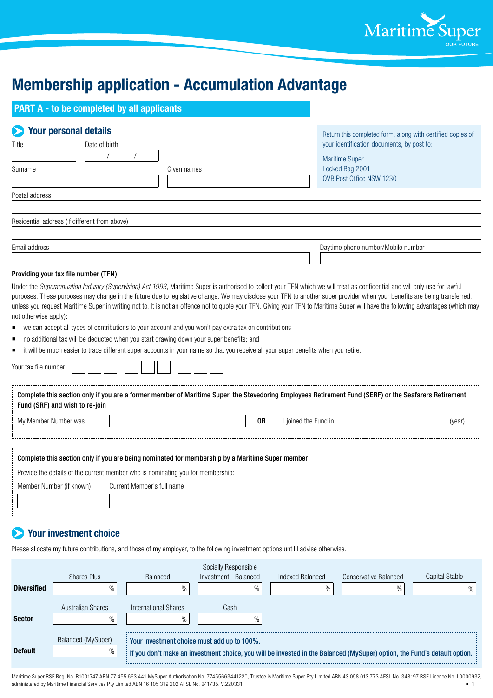

### **Membership application - Accumulation Advantage**

| <b>PART A - to be completed by all applicants</b>                                                                                                                                                                                                                 |                                                                                                                                    |                                                                                                                                                                                                                                                                                                                                                               |
|-------------------------------------------------------------------------------------------------------------------------------------------------------------------------------------------------------------------------------------------------------------------|------------------------------------------------------------------------------------------------------------------------------------|---------------------------------------------------------------------------------------------------------------------------------------------------------------------------------------------------------------------------------------------------------------------------------------------------------------------------------------------------------------|
| <b>Your personal details</b><br>Date of birth<br>Title                                                                                                                                                                                                            |                                                                                                                                    | Return this completed form, along with certified copies of<br>your identification documents, by post to:<br><b>Maritime Super</b>                                                                                                                                                                                                                             |
| Surname                                                                                                                                                                                                                                                           | Given names                                                                                                                        | Locked Bag 2001<br>QVB Post Office NSW 1230                                                                                                                                                                                                                                                                                                                   |
| Postal address                                                                                                                                                                                                                                                    |                                                                                                                                    |                                                                                                                                                                                                                                                                                                                                                               |
| Residential address (if different from above)                                                                                                                                                                                                                     |                                                                                                                                    |                                                                                                                                                                                                                                                                                                                                                               |
| Email address                                                                                                                                                                                                                                                     |                                                                                                                                    | Daytime phone number/Mobile number                                                                                                                                                                                                                                                                                                                            |
| Providing your tax file number (TFN)                                                                                                                                                                                                                              |                                                                                                                                    |                                                                                                                                                                                                                                                                                                                                                               |
| not otherwise apply):<br>we can accept all types of contributions to your account and you won't pay extra tax on contributions<br>п<br>no additional tax will be deducted when you start drawing down your super benefits; and<br>п<br>п<br>Your tax file number: | it will be much easier to trace different super accounts in your name so that you receive all your super benefits when you retire. | purposes. These purposes may change in the future due to legislative change. We may disclose your TFN to another super provider when your benefits are being transferred,<br>unless you request Maritime Super in writing not to. It is not an offence not to quote your TFN. Giving your TFN to Maritime Super will have the following advantages (which may |
| Fund (SRF) and wish to re-join                                                                                                                                                                                                                                    |                                                                                                                                    | Complete this section only if you are a former member of Maritime Super, the Stevedoring Employees Retirement Fund (SERF) or the Seafarers Retirement                                                                                                                                                                                                         |
| My Member Number was                                                                                                                                                                                                                                              | 0R<br>I joined the Fund in                                                                                                         | (year)                                                                                                                                                                                                                                                                                                                                                        |
|                                                                                                                                                                                                                                                                   | Complete this section only if you are being nominated for membership by a Maritime Super member                                    |                                                                                                                                                                                                                                                                                                                                                               |
| Provide the details of the current member who is nominating you for membership:                                                                                                                                                                                   |                                                                                                                                    |                                                                                                                                                                                                                                                                                                                                                               |
| Current Member's full name<br>Member Number (if known)                                                                                                                                                                                                            |                                                                                                                                    |                                                                                                                                                                                                                                                                                                                                                               |
|                                                                                                                                                                                                                                                                   |                                                                                                                                    |                                                                                                                                                                                                                                                                                                                                                               |

### **Your investment choice**

Please allocate my future contributions, and those of my employer, to the following investment options until I advise otherwise.

|                    |                          |                                             | Socially Responsible  |                  |                                                                                                                           |                |
|--------------------|--------------------------|---------------------------------------------|-----------------------|------------------|---------------------------------------------------------------------------------------------------------------------------|----------------|
|                    | <b>Shares Plus</b>       | <b>Balanced</b>                             | Investment - Balanced | Indexed Balanced | <b>Conservative Balanced</b>                                                                                              | Capital Stable |
| <b>Diversified</b> | $\%$                     | $\%$                                        | %                     | $\frac{0}{0}$    | $\%$                                                                                                                      |                |
|                    | <b>Australian Shares</b> | International Shares                        | Cash                  |                  |                                                                                                                           |                |
| Sector             | $\%$                     | $\%$                                        | $\frac{0}{6}$         |                  |                                                                                                                           |                |
|                    | Balanced (MySuper)       | Your investment choice must add up to 100%. |                       |                  |                                                                                                                           |                |
| <b>Default</b>     | %                        |                                             |                       |                  | If you don't make an investment choice, you will be invested in the Balanced (MySuper) option, the Fund's default option. |                |

Maritime Super RSE Reg. No. R1001747 ABN 77 455 663 441 MySuper Authorisation No. 77455663441220, Trustee is Maritime Super Pty Limited ABN 43 058 013 773 AFSL No. 348197 RSE Licence No. L0000932, administered by Maritime administered by Maritime Financial Services Pty Limited ABN 16 105 319 202 AFSL No. 241735. V.220331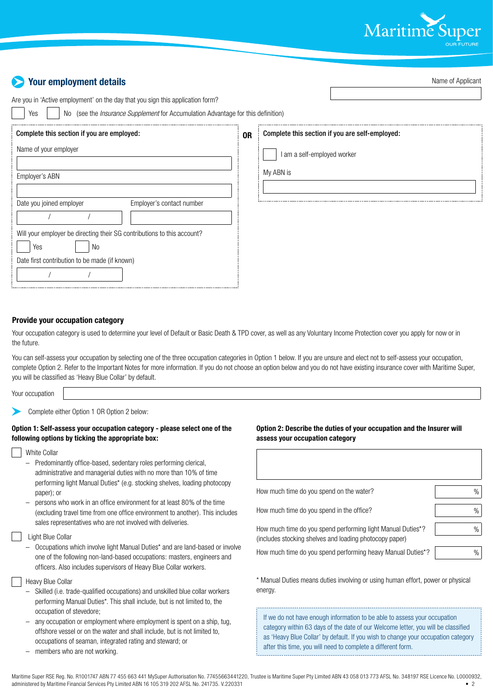

| <b>Your employment details</b>                                                                                                                                                   |           | Name of Applicant                               |
|----------------------------------------------------------------------------------------------------------------------------------------------------------------------------------|-----------|-------------------------------------------------|
| Are you in 'Active employment' on the day that you sign this application form?<br>No (see the <i>Insurance Supplement</i> for Accumulation Advantage for this definition)<br>Yes |           |                                                 |
| Complete this section if you are employed:                                                                                                                                       | <b>OR</b> | Complete this section if you are self-employed: |
| Name of your employer                                                                                                                                                            |           | I am a self-employed worker                     |
| Employer's ABN                                                                                                                                                                   |           | My ABN is                                       |
| Employer's contact number<br>Date you joined employer                                                                                                                            |           |                                                 |
| Will your employer be directing their SG contributions to this account?<br>Yes<br>No                                                                                             |           |                                                 |
| Date first contribution to be made (if known)                                                                                                                                    |           |                                                 |

#### **Provide your occupation category**

Your occupation category is used to determine your level of Default or Basic Death & TPD cover, as well as any Voluntary Income Protection cover you apply for now or in the future.

You can self-assess your occupation by selecting one of the three occupation categories in Option 1 below. If you are unsure and elect not to self-assess your occupation, complete Option 2. Refer to the Important Notes for more information. If you do not choose an option below and you do not have existing insurance cover with Maritime Super, you will be classified as 'Heavy Blue Collar' by default.

Your occupation

Complete either Option 1 OR Option 2 below:

#### **Option 1: Self-assess your occupation category - please select one of the following options by ticking the appropriate box:**

- White Collar
- Predominantly office-based, sedentary roles performing clerical, administrative and managerial duties with no more than 10% of time performing light Manual Duties\* (e.g. stocking shelves, loading photocopy paper); or
- persons who work in an office environment for at least 80% of the time (excluding travel time from one office environment to another). This includes sales representatives who are not involved with deliveries.

#### Light Blue Collar

- Occupations which involve light Manual Duties\* and are land-based or involve one of the following non-land-based occupations: masters, engineers and officers. Also includes supervisors of Heavy Blue Collar workers.
- Heavy Blue Collar
	- Skilled (i.e. trade-qualified occupations) and unskilled blue collar workers performing Manual Duties\*. This shall include, but is not limited to, the occupation of stevedore;
- any occupation or employment where employment is spent on a ship, tug, offshore vessel or on the water and shall include, but is not limited to, occupations of seaman, integrated rating and steward; or
- members who are not working.

#### **Option 2: Describe the duties of your occupation and the Insurer will assess your occupation category**

| How much time do you spend on the water?                                                                               | %             |
|------------------------------------------------------------------------------------------------------------------------|---------------|
| How much time do you spend in the office?                                                                              | $\%$          |
| How much time do you spend performing light Manual Duties*?<br>(includes stocking shelves and loading photocopy paper) | %             |
| How much time do you spend performing heavy Manual Duties*?                                                            | $\frac{0}{0}$ |

\* Manual Duties means duties involving or using human effort, power or physical energy.

If we do not have enough information to be able to assess your occupation category within 63 days of the date of our Welcome letter, you will be classified as 'Heavy Blue Collar' by default. If you wish to change your occupation category after this time, you will need to complete a different form.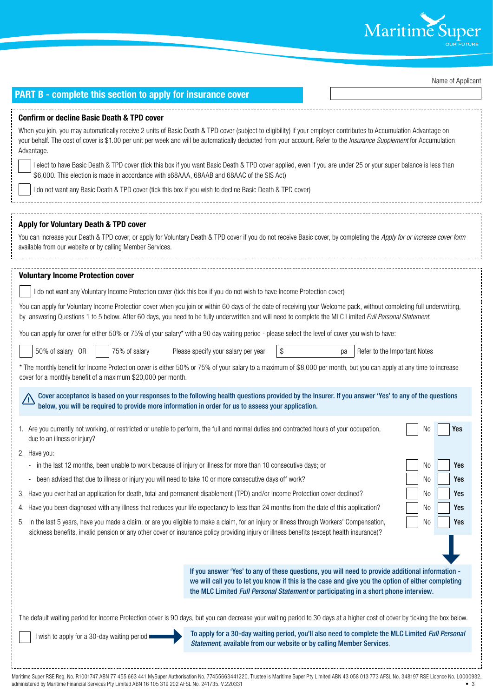

Name of Applicant

| <b>PART B - complete this section to apply for insurance cover</b>                                                                                                                                                                                                                                                                                                                                                                                                                                                                                                                                                                                                                                                                                                                                                                                                                                                                                                                                                                                                                                                                                                                                                                                                                                                                                                                                                                                                                                                                                                                                                                                                                                                                                                                                                                                                                                                                                                                                                                                                                                                                                                                                                                                                                                                                                                                                                                                                  |                                        |
|---------------------------------------------------------------------------------------------------------------------------------------------------------------------------------------------------------------------------------------------------------------------------------------------------------------------------------------------------------------------------------------------------------------------------------------------------------------------------------------------------------------------------------------------------------------------------------------------------------------------------------------------------------------------------------------------------------------------------------------------------------------------------------------------------------------------------------------------------------------------------------------------------------------------------------------------------------------------------------------------------------------------------------------------------------------------------------------------------------------------------------------------------------------------------------------------------------------------------------------------------------------------------------------------------------------------------------------------------------------------------------------------------------------------------------------------------------------------------------------------------------------------------------------------------------------------------------------------------------------------------------------------------------------------------------------------------------------------------------------------------------------------------------------------------------------------------------------------------------------------------------------------------------------------------------------------------------------------------------------------------------------------------------------------------------------------------------------------------------------------------------------------------------------------------------------------------------------------------------------------------------------------------------------------------------------------------------------------------------------------------------------------------------------------------------------------------------------------|----------------------------------------|
| <b>Confirm or decline Basic Death &amp; TPD cover</b><br>When you join, you may automatically receive 2 units of Basic Death & TPD cover (subject to eligibility) if your employer contributes to Accumulation Advantage on<br>your behalf. The cost of cover is \$1.00 per unit per week and will be automatically deducted from your account. Refer to the Insurance Supplement for Accumulation<br>Advantage.<br>I elect to have Basic Death & TPD cover (tick this box if you want Basic Death & TPD cover applied, even if you are under 25 or your super balance is less than<br>\$6,000. This election is made in accordance with s68AAA, 68AAB and 68AAC of the SIS Act)<br>I do not want any Basic Death & TPD cover (tick this box if you wish to decline Basic Death & TPD cover)                                                                                                                                                                                                                                                                                                                                                                                                                                                                                                                                                                                                                                                                                                                                                                                                                                                                                                                                                                                                                                                                                                                                                                                                                                                                                                                                                                                                                                                                                                                                                                                                                                                                        |                                        |
| Apply for Voluntary Death & TPD cover<br>You can increase your Death & TPD cover, or apply for Voluntary Death & TPD cover if you do not receive Basic cover, by completing the Apply for or increase cover form<br>available from our website or by calling Member Services.                                                                                                                                                                                                                                                                                                                                                                                                                                                                                                                                                                                                                                                                                                                                                                                                                                                                                                                                                                                                                                                                                                                                                                                                                                                                                                                                                                                                                                                                                                                                                                                                                                                                                                                                                                                                                                                                                                                                                                                                                                                                                                                                                                                       |                                        |
| <b>Voluntary Income Protection cover</b><br>I do not want any Voluntary Income Protection cover (tick this box if you do not wish to have Income Protection cover)<br>You can apply for Voluntary Income Protection cover when you join or within 60 days of the date of receiving your Welcome pack, without completing full underwriting,<br>by answering Questions 1 to 5 below. After 60 days, you need to be fully underwritten and will need to complete the MLC Limited Full Personal Statement.<br>You can apply for cover for either 50% or 75% of your salary* with a 90 day waiting period - please select the level of cover you wish to have:<br>50% of salary OR<br>75% of salary<br>Please specify your salary per year<br>\$<br>Refer to the Important Notes<br>pa<br>* The monthly benefit for Income Protection cover is either 50% or 75% of your salary to a maximum of \$8,000 per month, but you can apply at any time to increase<br>cover for a monthly benefit of a maximum \$20,000 per month.<br>Cover acceptance is based on your responses to the following health questions provided by the Insurer. If you answer 'Yes' to any of the questions<br>/!`<br>below, you will be required to provide more information in order for us to assess your application.<br>1. Are you currently not working, or restricted or unable to perform, the full and normal duties and contracted hours of your occupation,<br>No<br>due to an illness or injury?<br>2. Have you:<br>in the last 12 months, been unable to work because of injury or illness for more than 10 consecutive days; or<br>No<br>been advised that due to illness or injury you will need to take 10 or more consecutive days off work?<br>No<br>$\overline{\phantom{a}}$<br>3. Have you ever had an application for death, total and permanent disablement (TPD) and/or Income Protection cover declined?<br>No<br>4. Have you been diagnosed with any illness that reduces your life expectancy to less than 24 months from the date of this application?<br>No<br>In the last 5 years, have you made a claim, or are you eligible to make a claim, for an injury or illness through Workers' Compensation,<br>No<br>5.<br>sickness benefits, invalid pension or any other cover or insurance policy providing injury or illness benefits (except health insurance)?<br>If you answer 'Yes' to any of these questions, you will need to provide additional information - | Yes<br>Yes<br>Yes<br>Yes<br>Yes<br>Yes |
| we will call you to let you know if this is the case and give you the option of either completing<br>the MLC Limited Full Personal Statement or participating in a short phone interview.<br>The default waiting period for Income Protection cover is 90 days, but you can decrease your waiting period to 30 days at a higher cost of cover by ticking the box below.<br>To apply for a 30-day waiting period, you'll also need to complete the MLC Limited Full Personal<br>I wish to apply for a 30-day waiting period $\blacksquare$<br>Statement, available from our website or by calling Member Services.                                                                                                                                                                                                                                                                                                                                                                                                                                                                                                                                                                                                                                                                                                                                                                                                                                                                                                                                                                                                                                                                                                                                                                                                                                                                                                                                                                                                                                                                                                                                                                                                                                                                                                                                                                                                                                                   |                                        |

Maritime Super RSE Reg. No. R1001747 ABN 77 455 663 441 MySuper Authorisation No. 77455663441220, Trustee is Maritime Super Pty Limited ABN 43 058 013 773 AFSL No. 348197 RSE Licence No. L0000932, administered by Maritime administered by Maritime Financial Services Pty Limited ABN 16 105 319 202 AFSL No. 241735. V.220331

÷.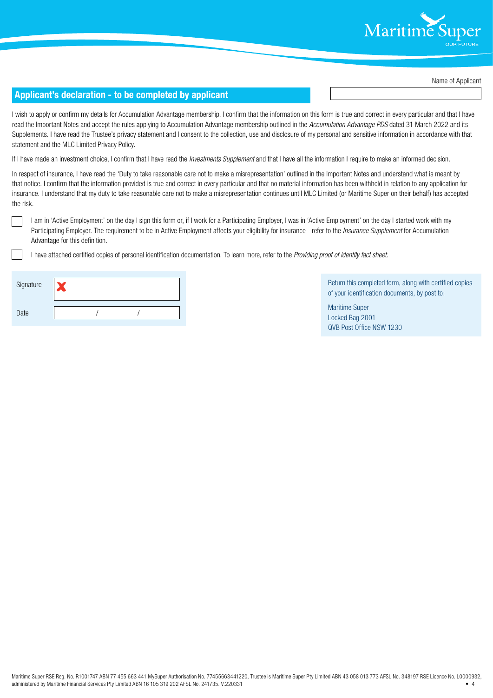

Name of Applicant

#### **Applicant's declaration - to be completed by applicant**

I wish to apply or confirm my details for Accumulation Advantage membership. I confirm that the information on this form is true and correct in every particular and that I have read the Important Notes and accept the rules applying to Accumulation Advantage membership outlined in the *Accumulation Advantage PDS* dated 31 March 2022 and its Supplements. I have read the Trustee's privacy statement and I consent to the collection, use and disclosure of my personal and sensitive information in accordance with that statement and the MLC Limited Privacy Policy.

If I have made an investment choice, I confirm that I have read the *Investments Supplement* and that I have all the information I require to make an informed decision.

In respect of insurance, I have read the 'Duty to take reasonable care not to make a misrepresentation' outlined in the Important Notes and understand what is meant by that notice. I confirm that the information provided is true and correct in every particular and that no material information has been withheld in relation to any application for insurance. I understand that my duty to take reasonable care not to make a misrepresentation continues until MLC Limited (or Maritime Super on their behalf) has accepted the risk.

I am in 'Active Employment' on the day I sign this form or, if I work for a Participating Employer, I was in 'Active Employment' on the day I started work with my Participating Employer. The requirement to be in Active Employment affects your eligibility for insurance - refer to the *Insurance Supplement* for Accumulation Advantage for this definition.

I have attached certified copies of personal identification documentation. To learn more, refer to the *Providing proof of identity fact sheet*.

| Signature |  |  |
|-----------|--|--|
| Date      |  |  |

Return this completed form, along with certified copies of your identification documents, by post to:

Maritime Super Locked Bag 2001 QVB Post Office NSW 1230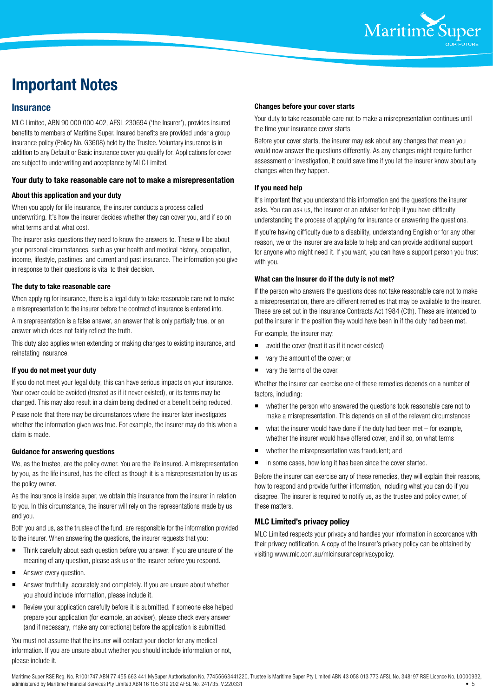

### **Important Notes**

#### **Insurance**

MLC Limited, ABN 90 000 000 402, AFSL 230694 ('the Insurer'), provides insured benefits to members of Maritime Super. Insured benefits are provided under a group insurance policy (Policy No. G3608) held by the Trustee. Voluntary insurance is in addition to any Default or Basic insurance cover you qualify for. Applications for cover are subject to underwriting and acceptance by MLC Limited.

#### **Your duty to take reasonable care not to make a misrepresentation**

#### **About this application and your duty**

When you apply for life insurance, the insurer conducts a process called underwriting. It's how the insurer decides whether they can cover you, and if so on what terms and at what cost.

The insurer asks questions they need to know the answers to. These will be about your personal circumstances, such as your health and medical history, occupation, income, lifestyle, pastimes, and current and past insurance. The information you give in response to their questions is vital to their decision.

#### **The duty to take reasonable care**

When applying for insurance, there is a legal duty to take reasonable care not to make a misrepresentation to the insurer before the contract of insurance is entered into.

A misrepresentation is a false answer, an answer that is only partially true, or an answer which does not fairly reflect the truth.

This duty also applies when extending or making changes to existing insurance, and reinstating insurance.

#### **If you do not meet your duty**

If you do not meet your legal duty, this can have serious impacts on your insurance. Your cover could be avoided (treated as if it never existed), or its terms may be changed. This may also result in a claim being declined or a benefit being reduced. Please note that there may be circumstances where the insurer later investigates whether the information given was true. For example, the insurer may do this when a claim is made.

#### **Guidance for answering questions**

We, as the trustee, are the policy owner. You are the life insured. A misrepresentation by you, as the life insured, has the effect as though it is a misrepresentation by us as the policy owner.

As the insurance is inside super, we obtain this insurance from the insurer in relation to you. In this circumstance, the insurer will rely on the representations made by us and you.

Both you and us, as the trustee of the fund, are responsible for the information provided to the insurer. When answering the questions, the insurer requests that you:

- Think carefully about each question before you answer. If you are unsure of the meaning of any question, please ask us or the insurer before you respond.
- Answer every question.
- Answer truthfully, accurately and completely. If you are unsure about whether you should include information, please include it.
- Review your application carefully before it is submitted. If someone else helped prepare your application (for example, an adviser), please check every answer (and if necessary, make any corrections) before the application is submitted.

You must not assume that the insurer will contact your doctor for any medical information. If you are unsure about whether you should include information or not, please include it.

#### **Changes before your cover starts**

Your duty to take reasonable care not to make a misrepresentation continues until the time your insurance cover starts.

Before your cover starts, the insurer may ask about any changes that mean you would now answer the questions differently. As any changes might require further assessment or investigation, it could save time if you let the insurer know about any changes when they happen.

#### **If you need help**

It's important that you understand this information and the questions the insurer asks. You can ask us, the insurer or an adviser for help if you have difficulty understanding the process of applying for insurance or answering the questions.

If you're having difficulty due to a disability, understanding English or for any other reason, we or the insurer are available to help and can provide additional support for anyone who might need it. If you want, you can have a support person you trust with you.

#### **What can the Insurer do if the duty is not met?**

If the person who answers the questions does not take reasonable care not to make a misrepresentation, there are different remedies that may be available to the insurer. These are set out in the Insurance Contracts Act 1984 (Cth). These are intended to put the insurer in the position they would have been in if the duty had been met.

For example, the insurer may:

- avoid the cover (treat it as if it never existed)
- vary the amount of the cover; or
- vary the terms of the cover.

Whether the insurer can exercise one of these remedies depends on a number of factors, including:

- whether the person who answered the questions took reasonable care not to make a misrepresentation. This depends on all of the relevant circumstances
- what the insurer would have done if the duty had been met for example, whether the insurer would have offered cover, and if so, on what terms
- whether the misrepresentation was fraudulent; and
- in some cases, how long it has been since the cover started.

Before the insurer can exercise any of these remedies, they will explain their reasons, how to respond and provide further information, including what you can do if you disagree. The insurer is required to notify us, as the trustee and policy owner, of these matters.

#### **MLC Limited's privacy policy**

MLC Limited respects your privacy and handles your information in accordance with their privacy notification. A copy of the Insurer's privacy policy can be obtained by visiting www.mlc.com.au/mlcinsuranceprivacypolicy.